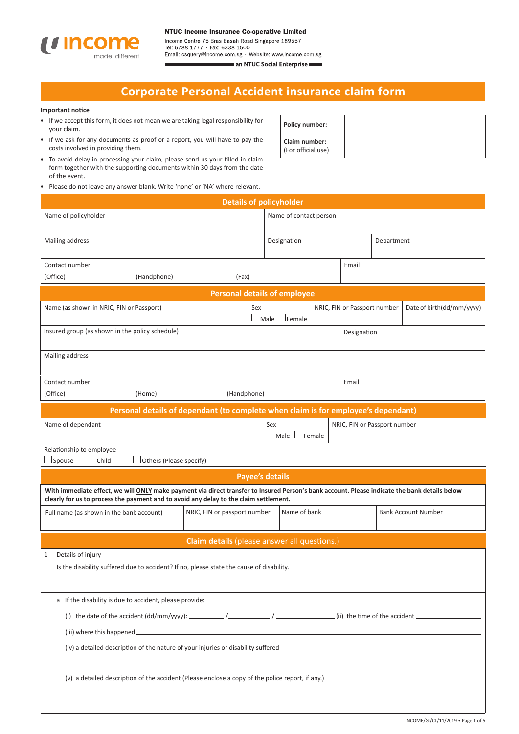

#### **NTUC Income Insurance Co-operative Limited**

Income Centre 75 Bras Basah Road Singapore 189557<br>Tel: 6788 1777 · Fax: 6338 1500 Email: csquery@income.com.sg · Website: www.income.com.sg an NTUC Social Enterprise

# **Corporate Personal Accident insurance claim form**

### **Important notice**

- If we accept this form, it does not mean we are taking legal responsibility for your claim.
- If we ask for any documents as proof or a report, you will have to pay the costs involved in providing them.
- To avoid delay in processing your claim, please send us your filled-in claim form together with the supporting documents within 30 days from the date of the event.
- Please do not leave any answer blank. Write 'none' or 'NA' where relevant.

| <b>Policy number:</b>               |  |
|-------------------------------------|--|
| Claim number:<br>(For official use) |  |

| Please do not leave any answer blank. Write 'none' or 'NA' where relevant.<br><b>Details of policyholder</b>                                                                                                                                                             |                                                                                    |                                  |              |        |                              |            |                            |
|--------------------------------------------------------------------------------------------------------------------------------------------------------------------------------------------------------------------------------------------------------------------------|------------------------------------------------------------------------------------|----------------------------------|--------------|--------|------------------------------|------------|----------------------------|
| Name of policyholder                                                                                                                                                                                                                                                     |                                                                                    | Name of contact person           |              |        |                              |            |                            |
|                                                                                                                                                                                                                                                                          |                                                                                    |                                  |              |        |                              |            |                            |
| Mailing address                                                                                                                                                                                                                                                          |                                                                                    | Designation                      |              |        |                              | Department |                            |
| Contact number                                                                                                                                                                                                                                                           |                                                                                    |                                  |              |        | Email                        |            |                            |
| (Office)<br>(Handphone)                                                                                                                                                                                                                                                  | (Fax)                                                                              |                                  |              |        |                              |            |                            |
|                                                                                                                                                                                                                                                                          | <b>Personal details of employee</b>                                                |                                  |              |        |                              |            |                            |
| Name (as shown in NRIC, FIN or Passport)                                                                                                                                                                                                                                 |                                                                                    | Sex<br>$\Box$ Male $\Box$ Female |              |        | NRIC, FIN or Passport number |            | Date of birth(dd/mm/yyyy)  |
| Insured group (as shown in the policy schedule)                                                                                                                                                                                                                          |                                                                                    |                                  |              |        | Designation                  |            |                            |
| Mailing address                                                                                                                                                                                                                                                          |                                                                                    |                                  |              |        |                              |            |                            |
| Contact number                                                                                                                                                                                                                                                           |                                                                                    |                                  |              |        | Email                        |            |                            |
| (Office)<br>(Home)                                                                                                                                                                                                                                                       | (Handphone)                                                                        |                                  |              |        |                              |            |                            |
|                                                                                                                                                                                                                                                                          | Personal details of dependant (to complete when claim is for employee's dependant) |                                  |              |        |                              |            |                            |
| Name of dependant                                                                                                                                                                                                                                                        |                                                                                    | Sex<br>Male                      |              | Female | NRIC, FIN or Passport number |            |                            |
| Relationship to employee<br>Others (Please specify)<br>Spouse<br>Child                                                                                                                                                                                                   |                                                                                    |                                  |              |        |                              |            |                            |
|                                                                                                                                                                                                                                                                          |                                                                                    | <b>Payee's details</b>           |              |        |                              |            |                            |
| With immediate effect, we will ONLY make payment via direct transfer to Insured Person's bank account. Please indicate the bank details below<br>clearly for us to process the payment and to avoid any delay to the claim settlement.                                   |                                                                                    |                                  |              |        |                              |            |                            |
| Full name (as shown in the bank account)                                                                                                                                                                                                                                 | NRIC, FIN or passport number                                                       |                                  | Name of bank |        |                              |            | <b>Bank Account Number</b> |
|                                                                                                                                                                                                                                                                          | Claim details (please answer all questions.)                                       |                                  |              |        |                              |            |                            |
| Details of injury<br>1<br>Is the disability suffered due to accident? If no, please state the cause of disability.                                                                                                                                                       |                                                                                    |                                  |              |        |                              |            |                            |
| a If the disability is due to accident, please provide:<br>(iii) where this happened _<br>the control of the control of the control of the control of the control of the control of<br>(iv) a detailed description of the nature of your injuries or disability suffered |                                                                                    |                                  |              |        |                              |            |                            |
| (v) a detailed description of the accident (Please enclose a copy of the police report, if any.)                                                                                                                                                                         |                                                                                    |                                  |              |        |                              |            |                            |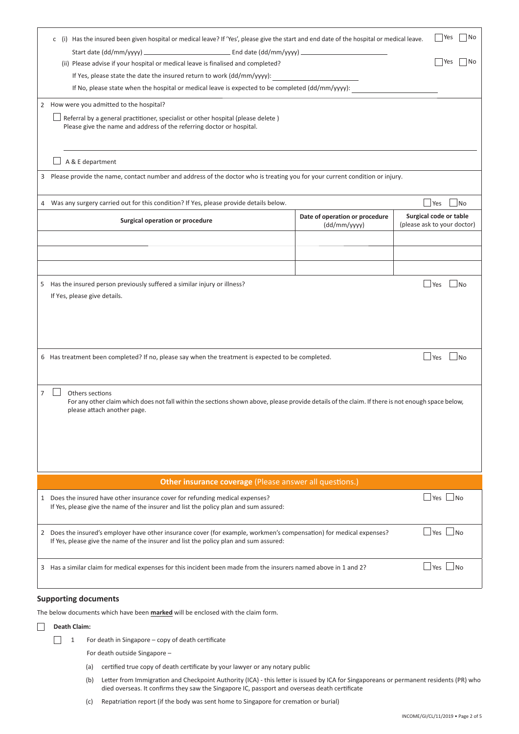|                                                                                                                                          | Yes<br> No<br>c (i) Has the insured been given hospital or medical leave? If 'Yes', please give the start and end date of the hospital or medical leave.                                                      |                                                |                                                       |  |  |  |
|------------------------------------------------------------------------------------------------------------------------------------------|---------------------------------------------------------------------------------------------------------------------------------------------------------------------------------------------------------------|------------------------------------------------|-------------------------------------------------------|--|--|--|
|                                                                                                                                          |                                                                                                                                                                                                               |                                                |                                                       |  |  |  |
|                                                                                                                                          | (ii) Please advise if your hospital or medical leave is finalised and completed?                                                                                                                              |                                                | No<br>Yes                                             |  |  |  |
|                                                                                                                                          | If Yes, please state the date the insured return to work (dd/mm/yyyy):                                                                                                                                        |                                                |                                                       |  |  |  |
|                                                                                                                                          | If No, please state when the hospital or medical leave is expected to be completed (dd/mm/yyyy):                                                                                                              |                                                |                                                       |  |  |  |
|                                                                                                                                          | 2 How were you admitted to the hospital?                                                                                                                                                                      |                                                |                                                       |  |  |  |
|                                                                                                                                          | Referral by a general practitioner, specialist or other hospital (please delete)<br>Please give the name and address of the referring doctor or hospital.                                                     |                                                |                                                       |  |  |  |
|                                                                                                                                          | A & E department                                                                                                                                                                                              |                                                |                                                       |  |  |  |
| 3                                                                                                                                        | Please provide the name, contact number and address of the doctor who is treating you for your current condition or injury.                                                                                   |                                                |                                                       |  |  |  |
|                                                                                                                                          | 4 Was any surgery carried out for this condition? If Yes, please provide details below.                                                                                                                       |                                                | $\Box$ Yes<br> No                                     |  |  |  |
|                                                                                                                                          | Surgical operation or procedure                                                                                                                                                                               | Date of operation or procedure<br>(dd/mm/yyyy) | Surgical code or table<br>(please ask to your doctor) |  |  |  |
|                                                                                                                                          |                                                                                                                                                                                                               |                                                |                                                       |  |  |  |
|                                                                                                                                          |                                                                                                                                                                                                               |                                                |                                                       |  |  |  |
|                                                                                                                                          |                                                                                                                                                                                                               |                                                |                                                       |  |  |  |
|                                                                                                                                          | 5 Has the insured person previously suffered a similar injury or illness?                                                                                                                                     |                                                | $\Box$ Yes<br>$\overline{\phantom{1}}$ No             |  |  |  |
|                                                                                                                                          | If Yes, please give details.                                                                                                                                                                                  |                                                |                                                       |  |  |  |
|                                                                                                                                          |                                                                                                                                                                                                               |                                                |                                                       |  |  |  |
|                                                                                                                                          |                                                                                                                                                                                                               |                                                |                                                       |  |  |  |
|                                                                                                                                          |                                                                                                                                                                                                               |                                                |                                                       |  |  |  |
|                                                                                                                                          | 6 Has treatment been completed? If no, please say when the treatment is expected to be completed.                                                                                                             |                                                | $\Box$ Yes<br>⊥No                                     |  |  |  |
|                                                                                                                                          |                                                                                                                                                                                                               |                                                |                                                       |  |  |  |
|                                                                                                                                          |                                                                                                                                                                                                               |                                                |                                                       |  |  |  |
| $\overline{7}$                                                                                                                           | Others sections<br>For any other claim which does not fall within the sections shown above, please provide details of the claim. If there is not enough space below,                                          |                                                |                                                       |  |  |  |
|                                                                                                                                          | please attach another page.                                                                                                                                                                                   |                                                |                                                       |  |  |  |
|                                                                                                                                          |                                                                                                                                                                                                               |                                                |                                                       |  |  |  |
|                                                                                                                                          |                                                                                                                                                                                                               |                                                |                                                       |  |  |  |
|                                                                                                                                          |                                                                                                                                                                                                               |                                                |                                                       |  |  |  |
|                                                                                                                                          |                                                                                                                                                                                                               |                                                |                                                       |  |  |  |
| Other insurance coverage (Please answer all questions.)                                                                                  |                                                                                                                                                                                                               |                                                |                                                       |  |  |  |
|                                                                                                                                          | 1 Does the insured have other insurance cover for refunding medical expenses?<br>If Yes, please give the name of the insurer and list the policy plan and sum assured:                                        |                                                | $\Box$ Yes $\Box$ No                                  |  |  |  |
|                                                                                                                                          | 2 Does the insured's employer have other insurance cover (for example, workmen's compensation) for medical expenses?<br>If Yes, please give the name of the insurer and list the policy plan and sum assured: |                                                | $\Box$ Yes $\Box$ No                                  |  |  |  |
| $\Box$ Yes $\Box$ No<br>3 Has a similar claim for medical expenses for this incident been made from the insurers named above in 1 and 2? |                                                                                                                                                                                                               |                                                |                                                       |  |  |  |
|                                                                                                                                          |                                                                                                                                                                                                               |                                                |                                                       |  |  |  |

## **Supporting documents**

The below documents which have been **marked** will be enclosed with the claim form.

 $\Box$ **Death Claim:**

- $\Box$  1 For death in Singapore copy of death certificate
	- For death outside Singapore –
	- (a) certified true copy of death certificate by your lawyer or any notary public
	- (b) Letter from Immigration and Checkpoint Authority (ICA) this letter is issued by ICA for Singaporeans or permanent residents (PR) who died overseas. It confirms they saw the Singapore IC, passport and overseas death certificate
	- (c) Repatriation report (if the body was sent home to Singapore for cremation or burial)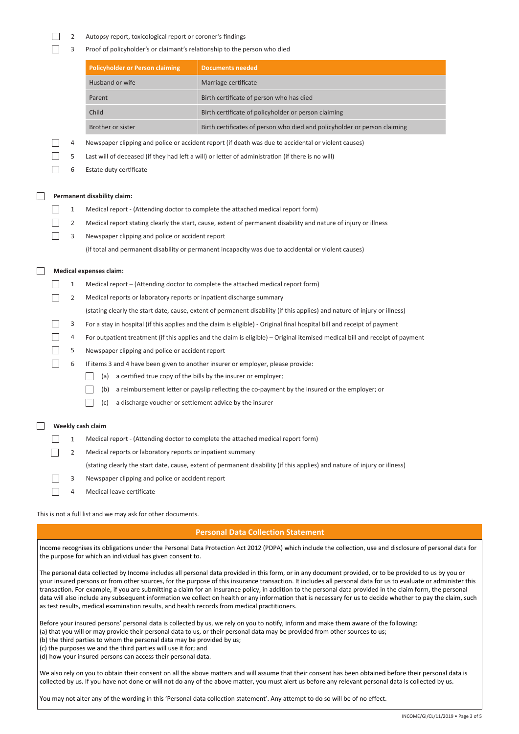$\Box$ 2 Autopsy report, toxicological report or coroner's findings

 $\Box$ 

 $\hfill \square$ 

 $\Box$ 

 $\Box$ 3 Proof of policyholder's or claimant's relationship to the person who died

|                                                                                                                                                                                                                                                                                                                                                                                                                                                                                   |   | <b>Policyholder or Person claiming</b>                                                       | <b>Documents needed</b>                                                                                                                                                                                                                                                                                                                                                                                                                                                                                                                                                                                                                               |  |  |
|-----------------------------------------------------------------------------------------------------------------------------------------------------------------------------------------------------------------------------------------------------------------------------------------------------------------------------------------------------------------------------------------------------------------------------------------------------------------------------------|---|----------------------------------------------------------------------------------------------|-------------------------------------------------------------------------------------------------------------------------------------------------------------------------------------------------------------------------------------------------------------------------------------------------------------------------------------------------------------------------------------------------------------------------------------------------------------------------------------------------------------------------------------------------------------------------------------------------------------------------------------------------------|--|--|
|                                                                                                                                                                                                                                                                                                                                                                                                                                                                                   |   | Husband or wife                                                                              | Marriage certificate                                                                                                                                                                                                                                                                                                                                                                                                                                                                                                                                                                                                                                  |  |  |
|                                                                                                                                                                                                                                                                                                                                                                                                                                                                                   |   | Parent                                                                                       | Birth certificate of person who has died                                                                                                                                                                                                                                                                                                                                                                                                                                                                                                                                                                                                              |  |  |
|                                                                                                                                                                                                                                                                                                                                                                                                                                                                                   |   | Child                                                                                        | Birth certificate of policyholder or person claiming                                                                                                                                                                                                                                                                                                                                                                                                                                                                                                                                                                                                  |  |  |
|                                                                                                                                                                                                                                                                                                                                                                                                                                                                                   |   | Brother or sister                                                                            | Birth certificates of person who died and policyholder or person claiming                                                                                                                                                                                                                                                                                                                                                                                                                                                                                                                                                                             |  |  |
|                                                                                                                                                                                                                                                                                                                                                                                                                                                                                   | 4 |                                                                                              | Newspaper clipping and police or accident report (if death was due to accidental or violent causes)                                                                                                                                                                                                                                                                                                                                                                                                                                                                                                                                                   |  |  |
|                                                                                                                                                                                                                                                                                                                                                                                                                                                                                   | 5 |                                                                                              | Last will of deceased (if they had left a will) or letter of administration (if there is no will)                                                                                                                                                                                                                                                                                                                                                                                                                                                                                                                                                     |  |  |
|                                                                                                                                                                                                                                                                                                                                                                                                                                                                                   | 6 | Estate duty certificate                                                                      |                                                                                                                                                                                                                                                                                                                                                                                                                                                                                                                                                                                                                                                       |  |  |
|                                                                                                                                                                                                                                                                                                                                                                                                                                                                                   |   |                                                                                              |                                                                                                                                                                                                                                                                                                                                                                                                                                                                                                                                                                                                                                                       |  |  |
|                                                                                                                                                                                                                                                                                                                                                                                                                                                                                   |   | Permanent disability claim:                                                                  |                                                                                                                                                                                                                                                                                                                                                                                                                                                                                                                                                                                                                                                       |  |  |
|                                                                                                                                                                                                                                                                                                                                                                                                                                                                                   | 1 |                                                                                              | Medical report - (Attending doctor to complete the attached medical report form)                                                                                                                                                                                                                                                                                                                                                                                                                                                                                                                                                                      |  |  |
|                                                                                                                                                                                                                                                                                                                                                                                                                                                                                   | 2 |                                                                                              | Medical report stating clearly the start, cause, extent of permanent disability and nature of injury or illness                                                                                                                                                                                                                                                                                                                                                                                                                                                                                                                                       |  |  |
|                                                                                                                                                                                                                                                                                                                                                                                                                                                                                   | 3 | Newspaper clipping and police or accident report                                             |                                                                                                                                                                                                                                                                                                                                                                                                                                                                                                                                                                                                                                                       |  |  |
|                                                                                                                                                                                                                                                                                                                                                                                                                                                                                   |   |                                                                                              | (if total and permanent disability or permanent incapacity was due to accidental or violent causes)                                                                                                                                                                                                                                                                                                                                                                                                                                                                                                                                                   |  |  |
|                                                                                                                                                                                                                                                                                                                                                                                                                                                                                   |   |                                                                                              |                                                                                                                                                                                                                                                                                                                                                                                                                                                                                                                                                                                                                                                       |  |  |
|                                                                                                                                                                                                                                                                                                                                                                                                                                                                                   |   | Medical expenses claim:                                                                      |                                                                                                                                                                                                                                                                                                                                                                                                                                                                                                                                                                                                                                                       |  |  |
|                                                                                                                                                                                                                                                                                                                                                                                                                                                                                   | 1 |                                                                                              | Medical report – (Attending doctor to complete the attached medical report form)                                                                                                                                                                                                                                                                                                                                                                                                                                                                                                                                                                      |  |  |
|                                                                                                                                                                                                                                                                                                                                                                                                                                                                                   | 2 | Medical reports or laboratory reports or inpatient discharge summary                         |                                                                                                                                                                                                                                                                                                                                                                                                                                                                                                                                                                                                                                                       |  |  |
|                                                                                                                                                                                                                                                                                                                                                                                                                                                                                   |   |                                                                                              | (stating clearly the start date, cause, extent of permanent disability (if this applies) and nature of injury or illness)                                                                                                                                                                                                                                                                                                                                                                                                                                                                                                                             |  |  |
|                                                                                                                                                                                                                                                                                                                                                                                                                                                                                   | 3 |                                                                                              | For a stay in hospital (if this applies and the claim is eligible) - Original final hospital bill and receipt of payment                                                                                                                                                                                                                                                                                                                                                                                                                                                                                                                              |  |  |
|                                                                                                                                                                                                                                                                                                                                                                                                                                                                                   | 4 |                                                                                              | For outpatient treatment (if this applies and the claim is eligible) – Original itemised medical bill and receipt of payment                                                                                                                                                                                                                                                                                                                                                                                                                                                                                                                          |  |  |
|                                                                                                                                                                                                                                                                                                                                                                                                                                                                                   | 5 | Newspaper clipping and police or accident report                                             |                                                                                                                                                                                                                                                                                                                                                                                                                                                                                                                                                                                                                                                       |  |  |
|                                                                                                                                                                                                                                                                                                                                                                                                                                                                                   | 6 |                                                                                              | If items 3 and 4 have been given to another insurer or employer, please provide:                                                                                                                                                                                                                                                                                                                                                                                                                                                                                                                                                                      |  |  |
|                                                                                                                                                                                                                                                                                                                                                                                                                                                                                   |   | (a)                                                                                          | a certified true copy of the bills by the insurer or employer;                                                                                                                                                                                                                                                                                                                                                                                                                                                                                                                                                                                        |  |  |
|                                                                                                                                                                                                                                                                                                                                                                                                                                                                                   |   | (b)                                                                                          | a reimbursement letter or payslip reflecting the co-payment by the insured or the employer; or                                                                                                                                                                                                                                                                                                                                                                                                                                                                                                                                                        |  |  |
|                                                                                                                                                                                                                                                                                                                                                                                                                                                                                   |   | a discharge voucher or settlement advice by the insurer<br>(c)                               |                                                                                                                                                                                                                                                                                                                                                                                                                                                                                                                                                                                                                                                       |  |  |
|                                                                                                                                                                                                                                                                                                                                                                                                                                                                                   |   | Weekly cash claim                                                                            |                                                                                                                                                                                                                                                                                                                                                                                                                                                                                                                                                                                                                                                       |  |  |
|                                                                                                                                                                                                                                                                                                                                                                                                                                                                                   | 1 |                                                                                              | Medical report - (Attending doctor to complete the attached medical report form)                                                                                                                                                                                                                                                                                                                                                                                                                                                                                                                                                                      |  |  |
|                                                                                                                                                                                                                                                                                                                                                                                                                                                                                   | 2 | Medical reports or laboratory reports or inpatient summary                                   |                                                                                                                                                                                                                                                                                                                                                                                                                                                                                                                                                                                                                                                       |  |  |
|                                                                                                                                                                                                                                                                                                                                                                                                                                                                                   |   |                                                                                              | (stating clearly the start date, cause, extent of permanent disability (if this applies) and nature of injury or illness)                                                                                                                                                                                                                                                                                                                                                                                                                                                                                                                             |  |  |
|                                                                                                                                                                                                                                                                                                                                                                                                                                                                                   | 3 | Newspaper clipping and police or accident report                                             |                                                                                                                                                                                                                                                                                                                                                                                                                                                                                                                                                                                                                                                       |  |  |
|                                                                                                                                                                                                                                                                                                                                                                                                                                                                                   | 4 | Medical leave certificate                                                                    |                                                                                                                                                                                                                                                                                                                                                                                                                                                                                                                                                                                                                                                       |  |  |
|                                                                                                                                                                                                                                                                                                                                                                                                                                                                                   |   |                                                                                              |                                                                                                                                                                                                                                                                                                                                                                                                                                                                                                                                                                                                                                                       |  |  |
|                                                                                                                                                                                                                                                                                                                                                                                                                                                                                   |   | This is not a full list and we may ask for other documents.                                  |                                                                                                                                                                                                                                                                                                                                                                                                                                                                                                                                                                                                                                                       |  |  |
|                                                                                                                                                                                                                                                                                                                                                                                                                                                                                   |   |                                                                                              | <b>Personal Data Collection Statement</b>                                                                                                                                                                                                                                                                                                                                                                                                                                                                                                                                                                                                             |  |  |
|                                                                                                                                                                                                                                                                                                                                                                                                                                                                                   |   | the purpose for which an individual has given consent to.                                    | Income recognises its obligations under the Personal Data Protection Act 2012 (PDPA) which include the collection, use and disclosure of personal data for                                                                                                                                                                                                                                                                                                                                                                                                                                                                                            |  |  |
|                                                                                                                                                                                                                                                                                                                                                                                                                                                                                   |   | as test results, medical examination results, and health records from medical practitioners. | The personal data collected by Income includes all personal data provided in this form, or in any document provided, or to be provided to us by you or<br>your insured persons or from other sources, for the purpose of this insurance transaction. It includes all personal data for us to evaluate or administer this<br>transaction. For example, if you are submitting a claim for an insurance policy, in addition to the personal data provided in the claim form, the personal<br>data will also include any subsequent information we collect on health or any information that is necessary for us to decide whether to pay the claim, such |  |  |
| Before your insured persons' personal data is collected by us, we rely on you to notify, inform and make them aware of the following:<br>(a) that you will or may provide their personal data to us, or their personal data may be provided from other sources to us;<br>(b) the third parties to whom the personal data may be provided by us;<br>(c) the purposes we and the third parties will use it for; and<br>(d) how your insured persons can access their personal data. |   |                                                                                              |                                                                                                                                                                                                                                                                                                                                                                                                                                                                                                                                                                                                                                                       |  |  |
| We also rely on you to obtain their consent on all the above matters and will assume that their consent has been obtained before their personal data is<br>collected by us. If you have not done or will not do any of the above matter, you must alert us before any relevant personal data is collected by us.                                                                                                                                                                  |   |                                                                                              |                                                                                                                                                                                                                                                                                                                                                                                                                                                                                                                                                                                                                                                       |  |  |

You may not alter any of the wording in this 'Personal data collection statement'. Any attempt to do so will be of no effect.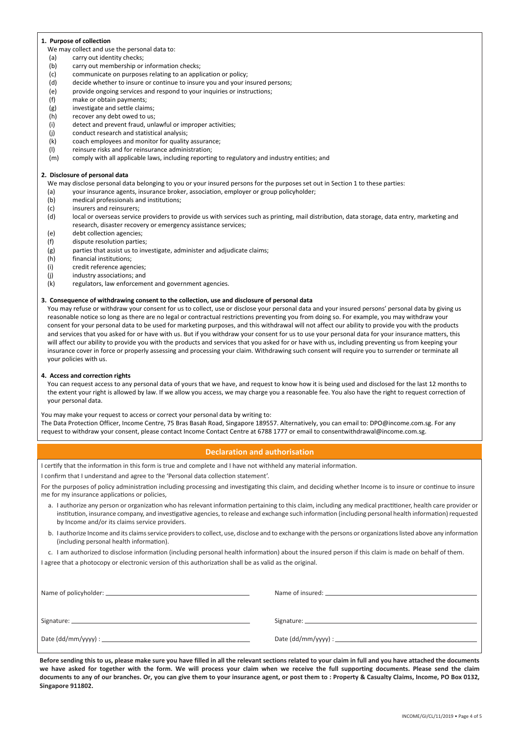#### **1. Purpose of collection**

- We may collect and use the personal data to:
- (a) carry out identity checks;
- (b) carry out membership or information checks;
- (c) communicate on purposes relating to an application or policy;
- (d) decide whether to insure or continue to insure you and your insured persons;
- (e) provide ongoing services and respond to your inquiries or instructions;
- (f) make or obtain payments;
- (g) investigate and settle claims;
- (h) recover any debt owed to us;
- (i) detect and prevent fraud, unlawful or improper activities;
- (j) conduct research and statistical analysis;
- (k) coach employees and monitor for quality assurance;
- (l) reinsure risks and for reinsurance administration;
- (m) comply with all applicable laws, including reporting to regulatory and industry entities; and

#### **2. Disclosure of personal data**

We may disclose personal data belonging to you or your insured persons for the purposes set out in Section 1 to these parties:

- (a) your insurance agents, insurance broker, association, employer or group policyholder;
- (b) medical professionals and institutions;
- (c) insurers and reinsurers;
- (d) local or overseas service providers to provide us with services such as printing, mail distribution, data storage, data entry, marketing and research, disaster recovery or emergency assistance services;
- (e) debt collection agencies;
- (f) dispute resolution parties;
- (g) parties that assist us to investigate, administer and adjudicate claims;
- (h) financial institutions;
- (i) credit reference agencies;
- (j) industry associations; and
- (k) regulators, law enforcement and government agencies.

#### **3. Consequence of withdrawing consent to the collection, use and disclosure of personal data**

You may refuse or withdraw your consent for us to collect, use or disclose your personal data and your insured persons' personal data by giving us reasonable notice so long as there are no legal or contractual restrictions preventing you from doing so. For example, you may withdraw your consent for your personal data to be used for marketing purposes, and this withdrawal will not affect our ability to provide you with the products and services that you asked for or have with us. But if you withdraw your consent for us to use your personal data for your insurance matters, this will affect our ability to provide you with the products and services that you asked for or have with us, including preventing us from keeping your insurance cover in force or properly assessing and processing your claim. Withdrawing such consent will require you to surrender or terminate all your policies with us.

#### **4. Access and correction rights**

You can request access to any personal data of yours that we have, and request to know how it is being used and disclosed for the last 12 months to the extent your right is allowed by law. If we allow you access, we may charge you a reasonable fee. You also have the right to request correction of your personal data.

You may make your request to access or correct your personal data by writing to:

The Data Protection Officer, Income Centre, 75 Bras Basah Road, Singapore 189557. Alternatively, you can email to: DPO@income.com.sg. For any request to withdraw your consent, please contact Income Contact Centre at 6788 1777 or email to consentwithdrawal@income.com.sg.

### **Declaration and authorisation**

I certify that the information in this form is true and complete and I have not withheld any material information.

I confirm that I understand and agree to the 'Personal data collection statement'.

For the purposes of policy administration including processing and investigating this claim, and deciding whether Income is to insure or continue to insure me for my insurance applications or policies.

- a. I authorize any person or organization who has relevant information pertaining to this claim, including any medical practitioner, health care provider or institution, insurance company, and investigative agencies, to release and exchange such information (including personal health information) requested by Income and/or its claims service providers.
- b. I authorize Income and its claims service providers to collect, use, disclose and to exchange with the persons or organizations listed above any information (including personal health information).

c. I am authorized to disclose information (including personal health information) about the insured person if this claim is made on behalf of them.

I agree that a photocopy or electronic version of this authorization shall be as valid as the original.

**Before sending this to us, please make sure you have filled in all the relevant sections related to your claim in full and you have attached the documents we have asked for together with the form. We will process your claim when we receive the full supporting documents. Please send the claim documents to any of our branches. Or, you can give them to your insurance agent, or post them to : Property & Casualty Claims, Income, PO Box 0132, Singapore 911802.**